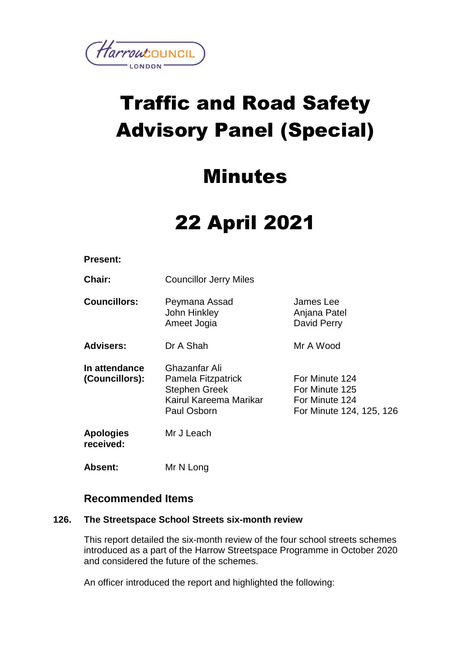

# Traffic and Road Safety Advisory Panel (Special)

### Minutes

## 22 April 2021

#### **Present:**

**Chair:** Councillor Jerry Miles

**Councillors:** Peymana Assad John Hinkley Ameet Jogia James Lee Anjana Patel David Perry

**Advisers:** Dr A Shah Mr A Wood

**In attendance (Councillors):** Ghazanfar Ali Pamela Fitzpatrick Stephen Greek Kairul Kareema Marikar Paul Osborn For Minute 124 For Minute 125 For Minute 124 For Minute 124, 125, 126

**Apologies received:** Mr J Leach

**Absent:** Mr N Long

### **Recommended Items**

#### **126. The Streetspace School Streets six-month review**

This report detailed the six-month review of the four school streets schemes introduced as a part of the Harrow Streetspace Programme in October 2020 and considered the future of the schemes.

An officer introduced the report and highlighted the following: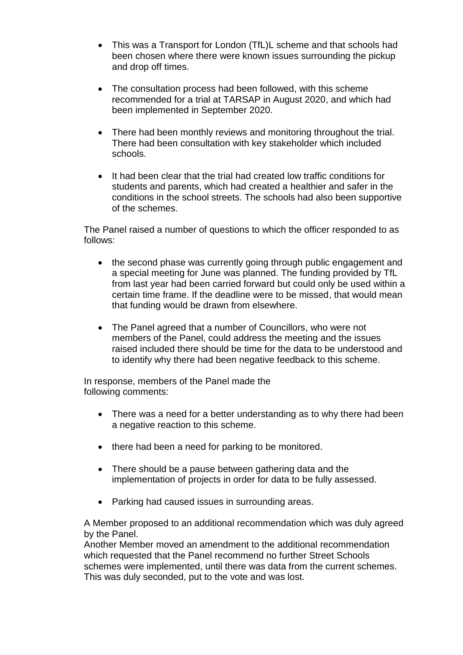- This was a Transport for London (TfL)L scheme and that schools had been chosen where there were known issues surrounding the pickup and drop off times.
- The consultation process had been followed, with this scheme recommended for a trial at TARSAP in August 2020, and which had been implemented in September 2020.
- There had been monthly reviews and monitoring throughout the trial. There had been consultation with key stakeholder which included schools.
- It had been clear that the trial had created low traffic conditions for students and parents, which had created a healthier and safer in the conditions in the school streets. The schools had also been supportive of the schemes.

The Panel raised a number of questions to which the officer responded to as follows:

- the second phase was currently going through public engagement and a special meeting for June was planned. The funding provided by TfL from last year had been carried forward but could only be used within a certain time frame. If the deadline were to be missed, that would mean that funding would be drawn from elsewhere.
- The Panel agreed that a number of Councillors, who were not members of the Panel, could address the meeting and the issues raised included there should be time for the data to be understood and to identify why there had been negative feedback to this scheme.

In response, members of the Panel made the following comments:

- There was a need for a better understanding as to why there had been a negative reaction to this scheme.
- there had been a need for parking to be monitored.
- There should be a pause between gathering data and the implementation of projects in order for data to be fully assessed.
- Parking had caused issues in surrounding areas.

A Member proposed to an additional recommendation which was duly agreed by the Panel.

Another Member moved an amendment to the additional recommendation which requested that the Panel recommend no further Street Schools schemes were implemented, until there was data from the current schemes. This was duly seconded, put to the vote and was lost.